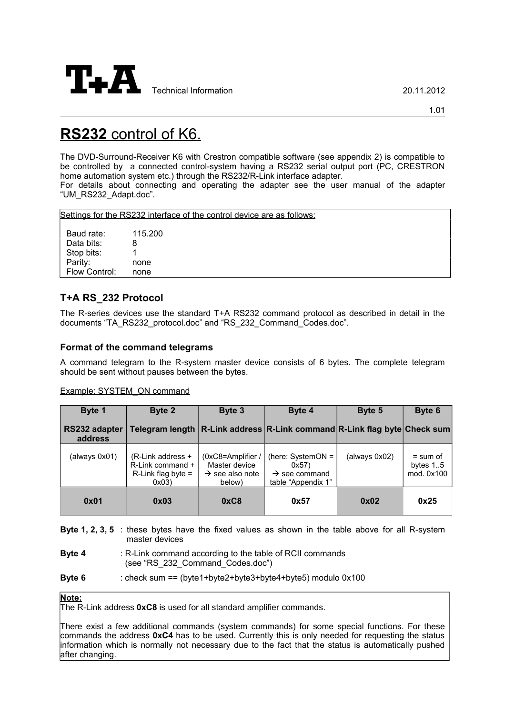

# **RS232** control of K6.

The DVD-Surround-Receiver K6 with Crestron compatible software (see appendix 2) is compatible to be controlled by a connected control-system having a RS232 serial output port (PC, CRESTRON home automation system etc.) through the RS232/R-Link interface adapter.

For details about connecting and operating the adapter see the user manual of the adapter "UM\_RS232\_Adapt.doc".

Settings for the RS232 interface of the control device are as follows:

Baud rate: 115.200 Data bits: 8 Stop bits: 1 Parity: none Flow Control: none

# **T+A RS\_232 Protocol**

The R-series devices use the standard T+A RS232 command protocol as described in detail in the documents "TA\_RS232\_protocol.doc" and "RS\_232\_Command\_Codes.doc".

## **Format of the command telegrams**

A command telegram to the R-system master device consists of 6 bytes. The complete telegram should be sent without pauses between the bytes.

| Example: SYSTEM ON command |  |
|----------------------------|--|
|                            |  |

| Byte 1                   | Byte 2                                                                  | Byte 3                                                                       | Byte 4                                                                         | Byte 5        | Byte 6                                  |
|--------------------------|-------------------------------------------------------------------------|------------------------------------------------------------------------------|--------------------------------------------------------------------------------|---------------|-----------------------------------------|
| RS232 adapter<br>address |                                                                         |                                                                              | Telegram length   R-Link address   R-Link command   R-Link flag byte Check sum |               |                                         |
| (always 0x01)            | (R-Link address +<br>R-Link command +<br>$R$ -Link flag byte =<br>0x03) | $(0xC8=Amplifier/$<br>Master device<br>$\rightarrow$ see also note<br>below) | (here: $SystemON =$<br>0x57<br>$\rightarrow$ see command<br>table "Appendix 1" | (always 0x02) | $=$ sum of<br>bytes $1.5$<br>mod. 0x100 |
| 0x01                     | 0x03                                                                    | 0xC8                                                                         | 0x57                                                                           | 0x02          | 0x25                                    |

**Byte 1, 2, 3, 5** : these bytes have the fixed values as shown in the table above for all R-system master devices

- **Byte 4** : R-Link command according to the table of RCII commands (see "RS\_232\_Command\_Codes.doc")
- **Byte 6** : check sum == (byte1+byte2+byte3+byte4+byte5) modulo 0x100

## **Note :**

The R-Link address **0xC8** is used for all standard amplifier commands.

There exist a few additional commands (system commands) for some special functions. For these commands the address **0xC4** has to be used. Currently this is only needed for requesting the status information which is normally not necessary due to the fact that the status is automatically pushed after changing.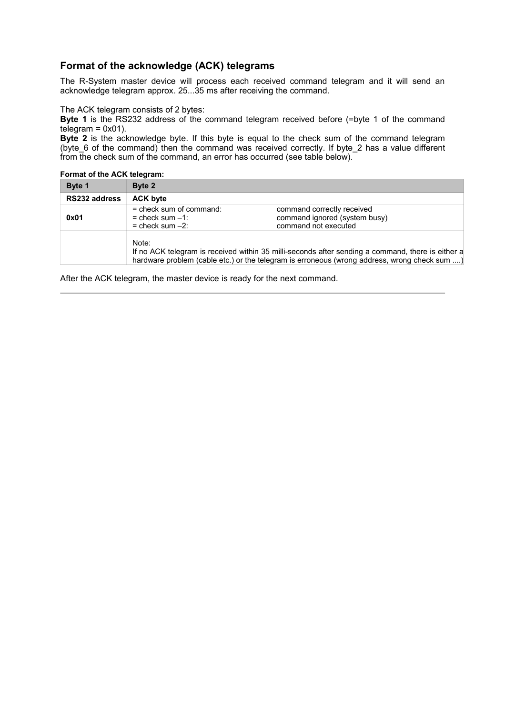## **Format of the acknowledge (ACK) telegrams**

The R-System master device will process each received command telegram and it will send an acknowledge telegram approx. 25...35 ms after receiving the command.

The ACK telegram consists of 2 bytes:

**Byte 1** is the RS232 address of the command telegram received before (=byte 1 of the command  $telegram = 0x01$ ).

**Byte 2** is the acknowledge byte. If this byte is equal to the check sum of the command telegram (byte\_6 of the command) then the command was received correctly. If byte\_2 has a value different from the check sum of the command, an error has occurred (see table below).

**Format of the ACK telegram:**

| Byte 1        | Byte 2                                                                                                                                                                                                     |                                                                                     |
|---------------|------------------------------------------------------------------------------------------------------------------------------------------------------------------------------------------------------------|-------------------------------------------------------------------------------------|
| RS232 address | <b>ACK byte</b>                                                                                                                                                                                            |                                                                                     |
| 0x01          | $=$ check sum of command:<br>$=$ check sum $-1$ :<br>$=$ check sum $-2$ :                                                                                                                                  | command correctly received<br>command ignored (system busy)<br>command not executed |
|               | Note:<br>If no ACK telegram is received within 35 milli-seconds after sending a command, there is either a<br>hardware problem (cable etc.) or the telegram is erroneous (wrong address, wrong check sum ) |                                                                                     |

After the ACK telegram, the master device is ready for the next command.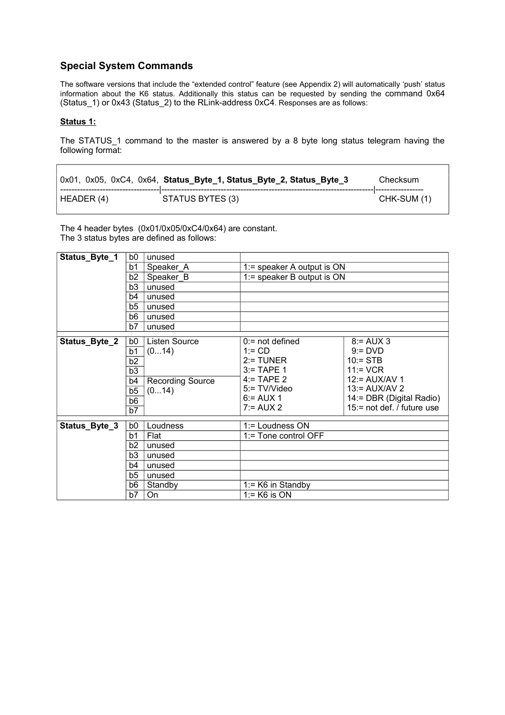# **Special System Commands**

The software versions that include the "extended control" feature (see Appendix 2) will automatically 'push' status information about the K6 status. Additionally this status can be requested by sending the command 0x64 (Status\_1) or 0x43 (Status\_2) to the RLink-address 0xC4. Responses are as follows:

## **Status 1:**

The STATUS\_1 command to the master is answered by a 8 byte long status telegram having the following format:

|            | 0x01, 0x05, 0xC4, 0x64, Status_Byte_1, Status_Byte_2, Status_Byte_3 | Checksum    |
|------------|---------------------------------------------------------------------|-------------|
| HEADER (4) | STATUS BYTES (3)                                                    | CHK-SUM (1) |

The 4 header bytes (0x01/0x05/0xC4/0x64) are constant. The 3 status bytes are defined as follows:

| Status_Byte_1 | b0             | unused               |                              |                                       |
|---------------|----------------|----------------------|------------------------------|---------------------------------------|
|               | b1             | Speaker_A            | $1:=$ speaker A output is ON |                                       |
|               | b <sub>2</sub> | Speaker B            | $1:=$ speaker B output is ON |                                       |
|               | b <sub>3</sub> | unused               |                              |                                       |
|               | b4             | unused               |                              |                                       |
|               | b5             | unused               |                              |                                       |
|               | b6             | unused               |                              |                                       |
|               | b7             | unused               |                              |                                       |
| Status_Byte_2 | b0             | <b>Listen Source</b> | $0$ := not defined           | $8 = AUX 3$                           |
|               | b1             | (014)                | $1 = CD$                     | $9 = DVD$                             |
|               | b2             |                      | $2:$ TUNER                   | $10 = STB$                            |
|               | b3             |                      | $3:$ TAPE 1                  | $11 = VCR$                            |
|               | b4             | Recording Source     | $4 = TAPE2$                  | $12 = \text{AUX}$ /AV 1               |
|               | b5             | (014)                | 5:= TV/Video                 | $13 = \frac{\text{AUX}}{\text{AV 2}}$ |
|               | b6             |                      | $6 = AUX 1$                  | 14:= DBR (Digital Radio)              |
|               | b7             |                      | $7 = AUX 2$                  | 15:= not def. / future use            |
| Status_Byte_3 | b0             | Loudness             | 1:= Loudness ON              |                                       |
|               | b1             | Flat                 | 1:= Tone control OFF         |                                       |
|               | b <sub>2</sub> | unused               |                              |                                       |
|               | b <sub>3</sub> | unused               |                              |                                       |
|               | b4             | unused               |                              |                                       |
|               | b5             | unused               |                              |                                       |
|               | b6             | Standby              | $1 = K6$ in Standby          |                                       |
|               | b7             | On                   | $1 = K6$ is ON               |                                       |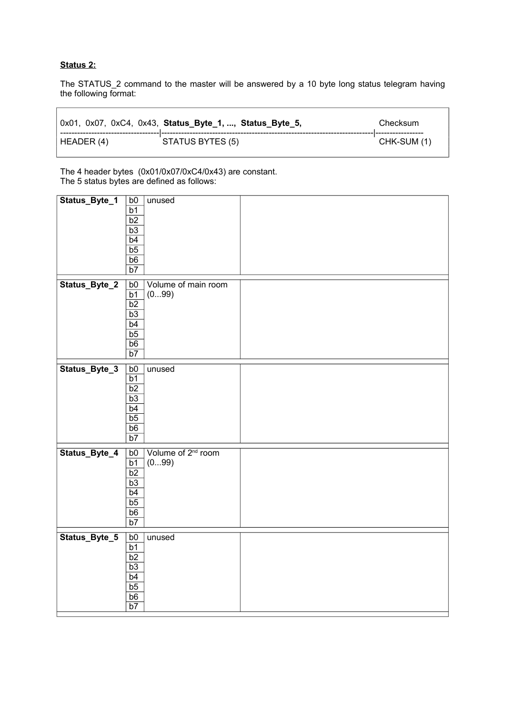## **Status 2:**

The STATUS\_2 command to the master will be answered by a 10 byte long status telegram having the following format:

|            | 0x01, 0x07, 0xC4, 0x43, Status_Byte_1, , Status_Byte_5, | Checksum    |
|------------|---------------------------------------------------------|-------------|
| HEADER (4) | STATUS BYTES (5)                                        | CHK-SUM (1) |

The 4 header bytes (0x01/0x07/0xC4/0x43) are constant. The 5 status bytes are defined as follows:

| Status_Byte_1 | b0              | unused                         |  |
|---------------|-----------------|--------------------------------|--|
|               | $\overline{b1}$ |                                |  |
|               | $\overline{b2}$ |                                |  |
|               | b3              |                                |  |
|               | b4              |                                |  |
|               | b <sub>5</sub>  |                                |  |
|               | $\overline{b6}$ |                                |  |
|               | $\overline{b7}$ |                                |  |
|               |                 |                                |  |
| Status_Byte_2 | b0              | Volume of main room            |  |
|               | $\overline{b1}$ | (099)                          |  |
|               | $\overline{b2}$ |                                |  |
|               | $\overline{b3}$ |                                |  |
|               | b4              |                                |  |
|               | b <sub>5</sub>  |                                |  |
|               | $\overline{b6}$ |                                |  |
|               | b7              |                                |  |
| Status_Byte_3 | b0              | unused                         |  |
|               | b1              |                                |  |
|               | $\overline{b2}$ |                                |  |
|               | $\overline{b3}$ |                                |  |
|               | b4              |                                |  |
|               | $\overline{b5}$ |                                |  |
|               | $\overline{b6}$ |                                |  |
|               | $\overline{b7}$ |                                |  |
|               |                 |                                |  |
| Status_Byte_4 | b0              | Volume of 2 <sup>nd</sup> room |  |
|               | $\overline{b1}$ | (099)                          |  |
|               | $\overline{b2}$ |                                |  |
|               | $\overline{b3}$ |                                |  |
|               | b4              |                                |  |
|               | b5              |                                |  |
|               | $\overline{b6}$ |                                |  |
|               | $\overline{b7}$ |                                |  |
| Status_Byte_5 | b0              | unused                         |  |
|               |                 |                                |  |
|               | $rac{b1}{b2}$   |                                |  |
|               | $\overline{b3}$ |                                |  |
|               | b4              |                                |  |
|               | $\overline{b5}$ |                                |  |
|               | b6              |                                |  |
|               | $\overline{b7}$ |                                |  |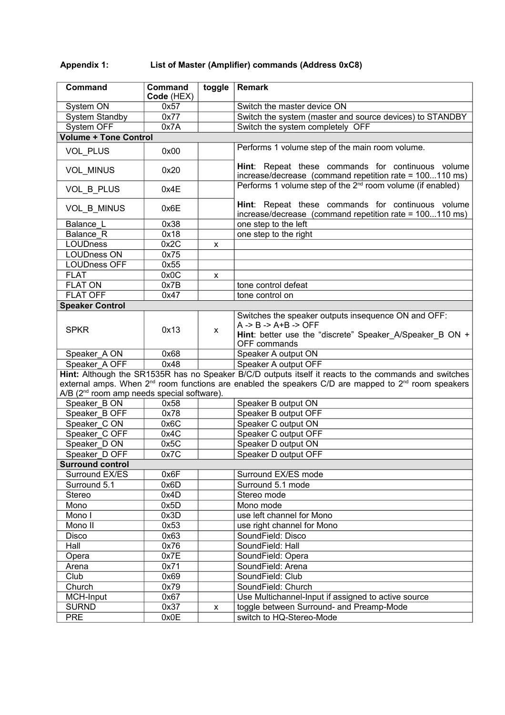# **Appendix 1: List of Master (Amplifier) commands (Address 0xC8)**

| Command                                                                                                                     | Command<br>Code (HEX) | toggle | <b>Remark</b>                                                                                                                                                          |
|-----------------------------------------------------------------------------------------------------------------------------|-----------------------|--------|------------------------------------------------------------------------------------------------------------------------------------------------------------------------|
| System ON                                                                                                                   | 0x57                  |        | Switch the master device ON                                                                                                                                            |
| <b>System Standby</b>                                                                                                       | 0x77                  |        | Switch the system (master and source devices) to STANDBY                                                                                                               |
| System OFF                                                                                                                  | 0x7A                  |        | Switch the system completely OFF                                                                                                                                       |
| <b>Volume + Tone Control</b>                                                                                                |                       |        |                                                                                                                                                                        |
| VOL_PLUS                                                                                                                    | 0x00                  |        | Performs 1 volume step of the main room volume.                                                                                                                        |
| VOL_MINUS                                                                                                                   | 0x20                  |        | Hint: Repeat these commands for continuous volume<br>increase/decrease (command repetition rate = 100110 ms)                                                           |
| VOL_B_PLUS                                                                                                                  | 0x4E                  |        | Performs 1 volume step of the 2 <sup>nd</sup> room volume (if enabled)                                                                                                 |
| VOL_B_MINUS                                                                                                                 | 0x6E                  |        | Hint: Repeat these commands for continuous volume<br>increase/decrease (command repetition rate = 100110 ms)                                                           |
| Balance L                                                                                                                   | 0x38                  |        | one step to the left                                                                                                                                                   |
| Balance R                                                                                                                   | 0x18                  |        | one step to the right                                                                                                                                                  |
| <b>LOUDness</b>                                                                                                             | 0x2C                  | X      |                                                                                                                                                                        |
| <b>LOUDness ON</b>                                                                                                          | 0x75                  |        |                                                                                                                                                                        |
| <b>LOUDness OFF</b>                                                                                                         | 0x55                  |        |                                                                                                                                                                        |
| <b>FLAT</b>                                                                                                                 | 0x0C                  | x      |                                                                                                                                                                        |
| <b>FLAT ON</b>                                                                                                              | 0x7B                  |        | tone control defeat                                                                                                                                                    |
| <b>FLAT OFF</b>                                                                                                             | 0x47                  |        | tone control on                                                                                                                                                        |
| <b>Speaker Control</b>                                                                                                      |                       |        |                                                                                                                                                                        |
| <b>SPKR</b>                                                                                                                 | 0x13                  | X      | Switches the speaker outputs insequence ON and OFF:<br>$A \rightarrow B \rightarrow A + B \rightarrow OFF$<br>Hint: better use the "discrete" Speaker_A/Speaker_B ON + |
|                                                                                                                             |                       |        | OFF commands                                                                                                                                                           |
| Speaker A ON                                                                                                                | 0x68                  |        | Speaker A output ON                                                                                                                                                    |
| Speaker A OFF                                                                                                               | 0x48                  |        | Speaker A output OFF                                                                                                                                                   |
|                                                                                                                             |                       |        | Hint: Although the SR1535R has no Speaker B/C/D outputs itself it reacts to the commands and switches                                                                  |
| external amps. When 2 <sup>nd</sup> room functions are enabled the speakers C/D are mapped to 2 <sup>nd</sup> room speakers |                       |        |                                                                                                                                                                        |
| A/B (2 <sup>nd</sup> room amp needs special software).                                                                      |                       |        |                                                                                                                                                                        |
| Speaker_B ON                                                                                                                | 0x58                  |        | Speaker B output ON                                                                                                                                                    |
| Speaker B OFF                                                                                                               | 0x78                  |        | Speaker B output OFF                                                                                                                                                   |
| Speaker CON                                                                                                                 | 0x6C                  |        | Speaker C output ON                                                                                                                                                    |
| Speaker C OFF                                                                                                               | 0x4C                  |        | Speaker C output OFF                                                                                                                                                   |
| Speaker D ON                                                                                                                | 0x5C                  |        | Speaker D output ON                                                                                                                                                    |
| Speaker D OFF                                                                                                               | 0x7C                  |        | Speaker D output OFF                                                                                                                                                   |
| <b>Surround control</b>                                                                                                     |                       |        |                                                                                                                                                                        |
| Surround EX/ES                                                                                                              | 0x6F                  |        | Surround EX/ES mode                                                                                                                                                    |
| Surround 5.1                                                                                                                | 0x6D                  |        | Surround 5.1 mode                                                                                                                                                      |
| Stereo                                                                                                                      | 0x4D                  |        | Stereo mode                                                                                                                                                            |
| Mono                                                                                                                        | 0x5D                  |        | Mono mode                                                                                                                                                              |
| Mono I                                                                                                                      | 0x3D                  |        | use left channel for Mono                                                                                                                                              |
| Mono II                                                                                                                     | 0x53                  |        | use right channel for Mono                                                                                                                                             |
| <b>Disco</b>                                                                                                                | 0x63                  |        | SoundField: Disco                                                                                                                                                      |
| Hall                                                                                                                        | 0x76                  |        | SoundField: Hall                                                                                                                                                       |
| Opera                                                                                                                       | 0x7E                  |        | SoundField: Opera                                                                                                                                                      |
| Arena                                                                                                                       | 0x71                  |        | SoundField: Arena                                                                                                                                                      |
| Club                                                                                                                        | 0x69                  |        | SoundField: Club                                                                                                                                                       |
| Church                                                                                                                      | 0x79                  |        | SoundField: Church                                                                                                                                                     |
| MCH-Input                                                                                                                   | 0x67                  |        | Use Multichannel-Input if assigned to active source                                                                                                                    |
| <b>SURND</b>                                                                                                                | 0x37                  | X      | toggle between Surround- and Preamp-Mode                                                                                                                               |
| <b>PRE</b>                                                                                                                  | 0x0E                  |        | switch to HQ-Stereo-Mode                                                                                                                                               |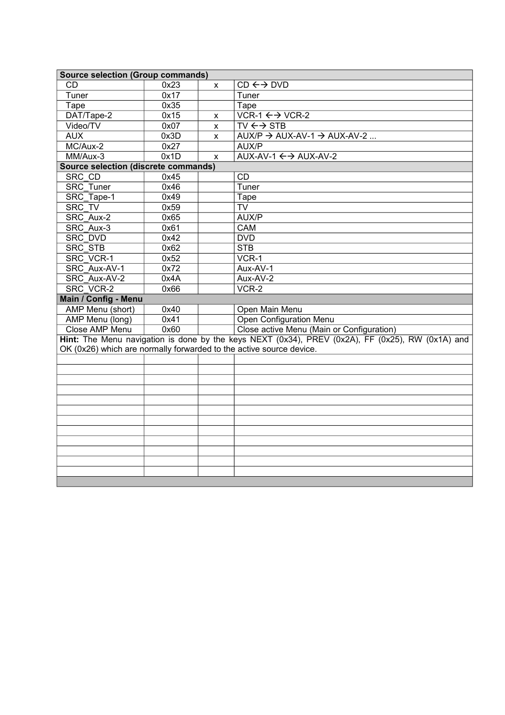| <b>Source selection (Group commands)</b>                            |      |   |                                                                                                  |  |
|---------------------------------------------------------------------|------|---|--------------------------------------------------------------------------------------------------|--|
| <b>CD</b>                                                           | 0x23 | X | $CD \leftrightarrow DVD$                                                                         |  |
| Tuner                                                               | 0x17 |   | Tuner                                                                                            |  |
| Tape                                                                | 0x35 |   | Tape                                                                                             |  |
| DAT/Tape-2                                                          | 0x15 | X | $\overline{\text{VCR-1}} \leftrightarrow \text{VCR-2}$                                           |  |
| Video/TV                                                            | 0x07 | X | $TV \leftrightarrow$ STB                                                                         |  |
| <b>AUX</b>                                                          | 0x3D | X | $AUX/P \rightarrow AUX-AV-1 \rightarrow AUX-AV-2$                                                |  |
| MC/Aux-2                                                            | 0x27 |   | AUX/P                                                                                            |  |
| MM/Aux-3                                                            | 0x1D | X | AUX-AV-1 $\leftrightarrow$ AUX-AV-2                                                              |  |
| <b>Source selection (discrete commands)</b>                         |      |   |                                                                                                  |  |
| SRC CD                                                              | 0x45 |   | CD                                                                                               |  |
| <b>SRC Tuner</b>                                                    | 0x46 |   | Tuner                                                                                            |  |
| SRC Tape-1                                                          | 0x49 |   | Tape                                                                                             |  |
| SRC TV                                                              | 0x59 |   | <b>TV</b>                                                                                        |  |
| SRC Aux-2                                                           | 0x65 |   | AUX/P                                                                                            |  |
| SRC Aux-3                                                           | 0x61 |   | CAM                                                                                              |  |
| <b>SRC DVD</b>                                                      | 0x42 |   | <b>DVD</b>                                                                                       |  |
| <b>SRC STB</b>                                                      | 0x62 |   | <b>STB</b>                                                                                       |  |
| <b>SRC VCR-1</b>                                                    | 0x52 |   | VCR-1                                                                                            |  |
| SRC Aux-AV-1                                                        | 0x72 |   | Aux-AV-1                                                                                         |  |
| SRC Aux-AV-2                                                        | 0x4A |   | Aux-AV-2                                                                                         |  |
| <b>SRC VCR-2</b>                                                    | 0x66 |   | $VCR-2$                                                                                          |  |
| Main / Config - Menu                                                |      |   |                                                                                                  |  |
| AMP Menu (short)                                                    | 0x40 |   | Open Main Menu                                                                                   |  |
| AMP Menu (long)                                                     | 0x41 |   | Open Configuration Menu                                                                          |  |
| Close AMP Menu                                                      | 0x60 |   | Close active Menu (Main or Configuration)                                                        |  |
|                                                                     |      |   | Hint: The Menu navigation is done by the keys NEXT (0x34), PREV (0x2A), FF (0x25), RW (0x1A) and |  |
| OK (0x26) which are normally forwarded to the active source device. |      |   |                                                                                                  |  |
|                                                                     |      |   |                                                                                                  |  |
|                                                                     |      |   |                                                                                                  |  |
|                                                                     |      |   |                                                                                                  |  |
|                                                                     |      |   |                                                                                                  |  |
|                                                                     |      |   |                                                                                                  |  |
|                                                                     |      |   |                                                                                                  |  |
|                                                                     |      |   |                                                                                                  |  |
|                                                                     |      |   |                                                                                                  |  |
|                                                                     |      |   |                                                                                                  |  |
|                                                                     |      |   |                                                                                                  |  |
|                                                                     |      |   |                                                                                                  |  |
|                                                                     |      |   |                                                                                                  |  |
|                                                                     |      |   |                                                                                                  |  |